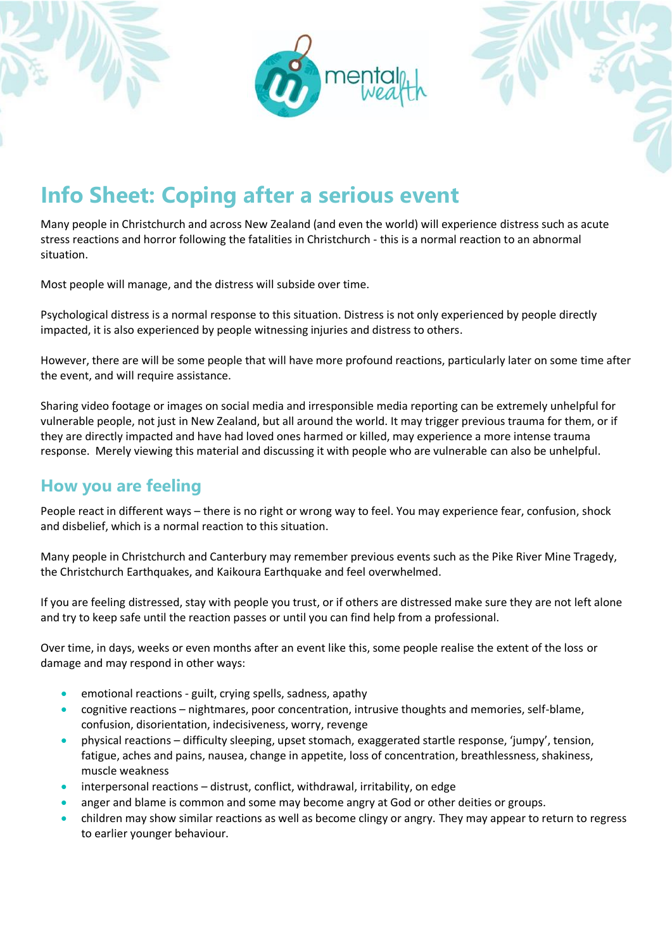



Many people in Christchurch and across New Zealand (and even the world) will experience distress such as acute stress reactions and horror following the fatalities in Christchurch - this is a normal reaction to an abnormal situation.

Most people will manage, and the distress will subside over time.

Psychological distress is a normal response to this situation. Distress is not only experienced by people directly impacted, it is also experienced by people witnessing injuries and distress to others.

However, there are will be some people that will have more profound reactions, particularly later on some time after the event, and will require assistance.

Sharing video footage or images on social media and irresponsible media reporting can be extremely unhelpful for vulnerable people, not just in New Zealand, but all around the world. It may trigger previous trauma for them, or if they are directly impacted and have had loved ones harmed or killed, may experience a more intense trauma response. Merely viewing this material and discussing it with people who are vulnerable can also be unhelpful.

#### **How you are feeling**

People react in different ways – there is no right or wrong way to feel. You may experience fear, confusion, shock and disbelief, which is a normal reaction to this situation.

Many people in Christchurch and Canterbury may remember previous events such as the Pike River Mine Tragedy, the Christchurch Earthquakes, and Kaikoura Earthquake and feel overwhelmed.

If you are feeling distressed, stay with people you trust, or if others are distressed make sure they are not left alone and try to keep safe until the reaction passes or until you can find help from a professional.

Over time, in days, weeks or even months after an event like this, some people realise the extent of the loss or damage and may respond in other ways:

- emotional reactions guilt, crying spells, sadness, apathy
- cognitive reactions nightmares, poor concentration, intrusive thoughts and memories, self-blame, confusion, disorientation, indecisiveness, worry, revenge
- physical reactions difficulty sleeping, upset stomach, exaggerated startle response, 'jumpy', tension, fatigue, aches and pains, nausea, change in appetite, loss of concentration, breathlessness, shakiness, muscle weakness
- interpersonal reactions distrust, conflict, withdrawal, irritability, on edge
- anger and blame is common and some may become angry at God or other deities or groups.
- children may show similar reactions as well as become clingy or angry. They may appear to return to regress to earlier younger behaviour.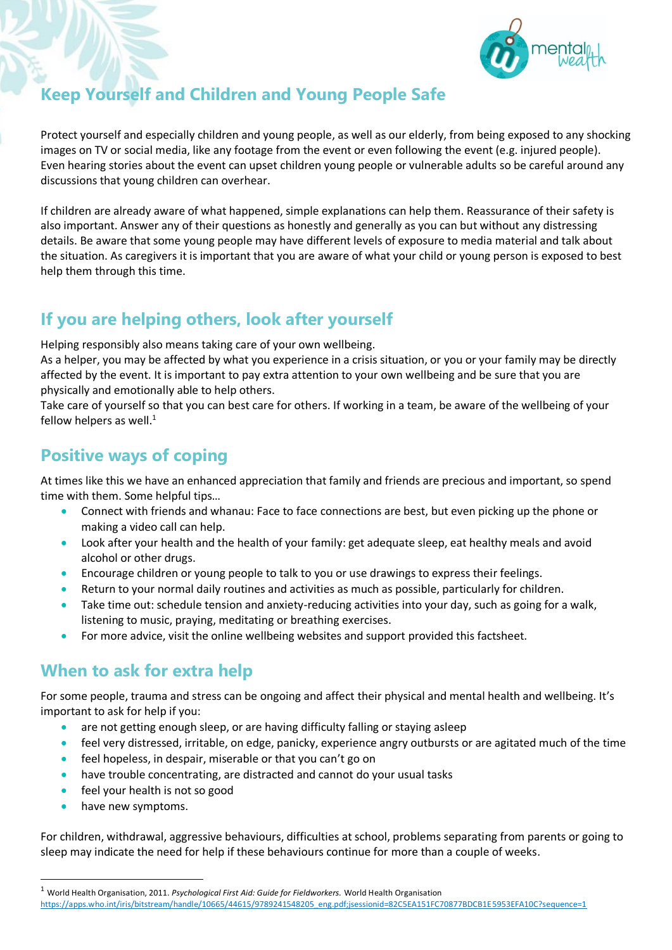

## **Keep Yourself and Children and Young People Safe**

Protect yourself and especially children and young people, as well as our elderly, from being exposed to any shocking images on TV or social media, like any footage from the event or even following the event (e.g. injured people). Even hearing stories about the event can upset children young people or vulnerable adults so be careful around any discussions that young children can overhear.

If children are already aware of what happened, simple explanations can help them. Reassurance of their safety is also important. Answer any of their questions as honestly and generally as you can but without any distressing details. Be aware that some young people may have different levels of exposure to media material and talk about the situation. As caregivers it is important that you are aware of what your child or young person is exposed to best help them through this time.

# **If you are helping others, look after yourself**

Helping responsibly also means taking care of your own wellbeing.

As a helper, you may be affected by what you experience in a crisis situation, or you or your family may be directly affected by the event. It is important to pay extra attention to your own wellbeing and be sure that you are physically and emotionally able to help others.

Take care of yourself so that you can best care for others. If working in a team, be aware of the wellbeing of your fellow helpers as well. $<sup>1</sup>$ </sup>

#### **Positive ways of coping**

At times like this we have an enhanced appreciation that family and friends are precious and important, so spend time with them. Some helpful tips…

- Connect with friends and whanau: Face to face connections are best, but even picking up the phone or making a video call can help.
- Look after your health and the health of your family: get adequate sleep, eat healthy meals and avoid alcohol or other drugs.
- Encourage children or young people to talk to you or use drawings to express their feelings.
- Return to your normal daily routines and activities as much as possible, particularly for children.
- Take time out: schedule tension and anxiety-reducing activities into your day, such as going for a walk, listening to music, praying, meditating or breathing exercises.
- For more advice, visit the online wellbeing websites and support provided this factsheet.

### **When to ask for extra help**

For some people, trauma and stress can be ongoing and affect their physical and mental health and wellbeing. It's important to ask for help if you:

- are not getting enough sleep, or are having difficulty falling or staying asleep
- feel very distressed, irritable, on edge, panicky, experience angry outbursts or are agitated much of the time
- feel hopeless, in despair, miserable or that you can't go on
- have trouble concentrating, are distracted and cannot do your usual tasks
- feel your health is not so good
- have new symptoms.

1

For children, withdrawal, aggressive behaviours, difficulties at school, problems separating from parents or going to sleep may indicate the need for help if these behaviours continue for more than a couple of weeks.

<sup>1</sup> World Health Organisation, 2011. *Psychological First Aid: Guide for Fieldworkers.* World Health Organisation

[https://apps.who.int/iris/bitstream/handle/10665/44615/9789241548205\\_eng.pdf;jsessionid=82C5EA151FC70877BDCB1E5953EFA10C?sequence=1](https://apps.who.int/iris/bitstream/handle/10665/44615/9789241548205_eng.pdf;jsessionid=82C5EA151FC70877BDCB1E5953EFA10C?sequence=1)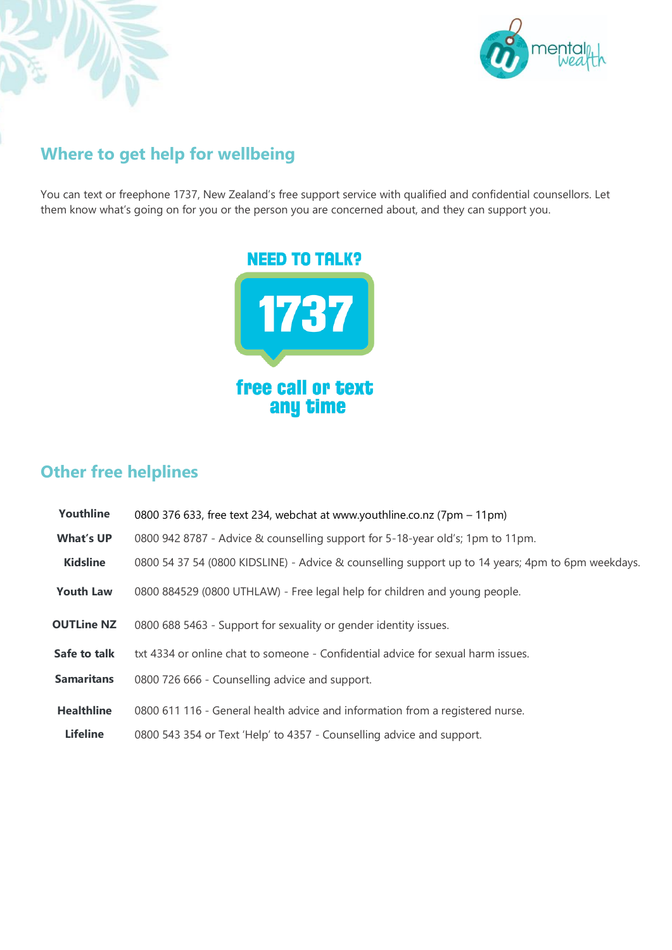



## **Where to get help for wellbeing**

You can text or freephone 1737, New Zealand's free support service with qualified and confidential counsellors. Let them know what's going on for you or the person you are concerned about, and they can support you.



## **Other free helplines**

| Youthline         | 0800 376 633, free text 234, webchat at www.youthline.co.nz (7pm – 11pm)                          |  |
|-------------------|---------------------------------------------------------------------------------------------------|--|
| <b>What's UP</b>  | 0800 942 8787 - Advice & counselling support for 5-18-year old's; 1pm to 11pm.                    |  |
| <b>Kidsline</b>   | 0800 54 37 54 (0800 KIDSLINE) - Advice & counselling support up to 14 years; 4pm to 6pm weekdays. |  |
| <b>Youth Law</b>  | 0800 884529 (0800 UTHLAW) - Free legal help for children and young people.                        |  |
| <b>OUTLine NZ</b> | 0800 688 5463 - Support for sexuality or gender identity issues.                                  |  |
| Safe to talk      | txt 4334 or online chat to someone - Confidential advice for sexual harm issues.                  |  |
| <b>Samaritans</b> | 0800 726 666 - Counselling advice and support.                                                    |  |
| <b>Healthline</b> | 0800 611 116 - General health advice and information from a registered nurse.                     |  |
| <b>Lifeline</b>   | 0800 543 354 or Text 'Help' to 4357 - Counselling advice and support.                             |  |